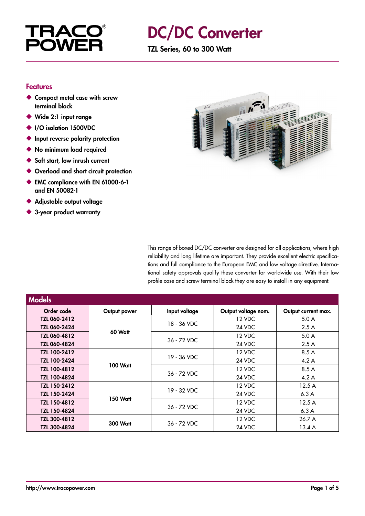

## DC/DC Converter

TZL Series, 60 to 300 Watt

#### Features

- ◆ Compact metal case with screw terminal block
- ◆ Wide 2:1 input range
- ◆ I/O isolation 1500VDC
- ◆ Input reverse polarity protection
- ◆ No minimum load required
- ◆ Soft start, low inrush current
- ◆ Overload and short circuit protection
- ◆ EMC compliance with EN 61000-6-1 and EN 50082-1
- ◆ Adjustable output voltage
- ◆ 3-year product warranty



This range of boxed DC/DC converter are designed for all applications, where high reliability and long lifetime are important. They provide excellent electric specifications and full compliance to the European EMC and low voltage directive. International safety approvals qualify these converter for worldwide use. With their low profile case and screw terminal block they are easy to install in any equipment.

| <b>Models</b>       |                 |               |                     |                     |
|---------------------|-----------------|---------------|---------------------|---------------------|
| Order code          | Output power    | Input voltage | Output voltage nom. | Output current max. |
| TZL 060-2412        | 60 Watt         | 18 - 36 VDC   | 12 VDC              | 5.0A                |
| <b>TZL 060-2424</b> |                 |               | 24 VDC              | 2.5A                |
| TZL 060-4812        |                 | 36 - 72 VDC   | 12 VDC              | 5.0A                |
| <b>TZL 060-4824</b> |                 |               | 24 VDC              | 2.5A                |
| TZL 100-2412        | <b>100 Watt</b> | 19 - 36 VDC   | 12 VDC              | 8.5 A               |
| TZL 100-2424        |                 |               | 24 VDC              | 4.2A                |
| TZL 100-4812        |                 | 36 - 72 VDC   | 12 VDC              | 8.5 A               |
| <b>TZL 100-4824</b> |                 |               | 24 VDC              | 4.2A                |
| TZL 150-2412        | 150 Watt        | 19 - 32 VDC   | 12 VDC              | 12.5A               |
| TZL 150-2424        |                 |               | 24 VDC              | 6.3A                |
| TZL 150-4812        |                 | 36 - 72 VDC   | 12 VDC              | 12.5A               |
| <b>TZL 150-4824</b> |                 |               | 24 VDC              | 6.3A                |
| TZL 300-4812        | <b>300 Watt</b> | 36 - 72 VDC   | 12 VDC              | 26.7 A              |
| <b>TZL 300-4824</b> |                 |               | 24 VDC              | 13.4A               |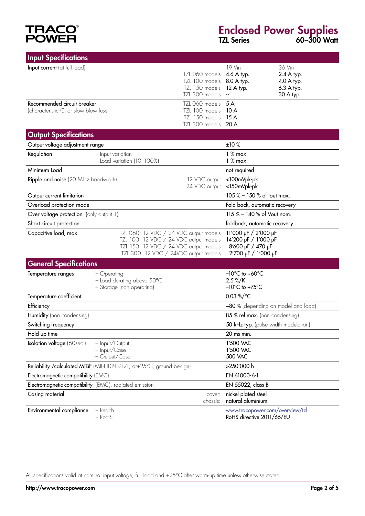# **TRACO®**<br>POWER

### Enclosed Power Supplies TZL Series 60–300 Watt

| <b>Input Specifications</b>                                           |                                                                                                                                                                     |                                                                      |                                                                                          |                                                               |
|-----------------------------------------------------------------------|---------------------------------------------------------------------------------------------------------------------------------------------------------------------|----------------------------------------------------------------------|------------------------------------------------------------------------------------------|---------------------------------------------------------------|
| Input current (at full load)                                          |                                                                                                                                                                     | TZL 060 models<br>TZL 100 models<br>TZL 150 models<br>TZL 300 models | 19 Vin<br>4.6 A typ.<br>8.0 A typ.<br>$12$ A typ.                                        | 36 Vin<br>2.4 A typ.<br>4.0 A typ.<br>6.3 A typ.<br>30 A typ. |
| Recommended circuit breaker<br>(characteristic C) or slow blow fuse   |                                                                                                                                                                     | TZL 060 models<br>TZL 100 models<br>TZL 150 models<br>TZL 300 models | 5A<br>10 A<br>15A<br>20 A                                                                |                                                               |
| <b>Output Specifications</b>                                          |                                                                                                                                                                     |                                                                      |                                                                                          |                                                               |
| Output voltage adjustment range                                       |                                                                                                                                                                     |                                                                      | ±10%                                                                                     |                                                               |
| Regulation                                                            | - Input variation<br>$-$ Load variation (10-100%)                                                                                                                   |                                                                      | $1%$ max.<br>$1%$ max.                                                                   |                                                               |
| Minimum Load                                                          |                                                                                                                                                                     |                                                                      | not required                                                                             |                                                               |
| Ripple and noise (20 MHz bandwidth)                                   |                                                                                                                                                                     | 12 VDC output<br>24 VDC output                                       | <100mVpk-pk<br><150mVpk-pk                                                               |                                                               |
| Output current limitation                                             |                                                                                                                                                                     |                                                                      | 105 % - 150 % of lout max.                                                               |                                                               |
| Overload protection mode                                              |                                                                                                                                                                     |                                                                      | Fold back, automatic recovery                                                            |                                                               |
| Over voltage protection (only output 1)                               |                                                                                                                                                                     |                                                                      | 115 % - 140 % of Vout nom.                                                               |                                                               |
| Short circuit protection                                              |                                                                                                                                                                     |                                                                      | foldback, automatic recovery                                                             |                                                               |
| Capacitive load, max.                                                 | TZL 060: 12 VDC / 24 VDC output models<br>TZL 100: 12 VDC / 24 VDC output models<br>TZL 150: 12 VDC / 24 VDC output models<br>TZL 300: 12 VDC / 24VDC output models |                                                                      | 11'000 µF / 2'000 µF<br>14'200 µF / 1'000 µF<br>8'600 µF / 470 µF<br>2'700 µF / 1'000 µF |                                                               |
| <b>General Specifications</b>                                         |                                                                                                                                                                     |                                                                      |                                                                                          |                                                               |
| Temperature ranges                                                    | - Operating<br>- Load derating above 50°C<br>- Storage (non operating)                                                                                              |                                                                      | $-10^{\circ}$ C to +60 $^{\circ}$ C<br>2.5 %/K<br>$-10^{\circ}$ C to +75 $^{\circ}$ C    |                                                               |
| Temperature coefficient                                               |                                                                                                                                                                     |                                                                      | 0.03 %/°C                                                                                |                                                               |
| Efficiency                                                            |                                                                                                                                                                     |                                                                      | ~80 % (depending on model and load)                                                      |                                                               |
| Humidity (non condensing)                                             |                                                                                                                                                                     |                                                                      | 85 % rel max. (non condensing)                                                           |                                                               |
| Switching frequency                                                   |                                                                                                                                                                     |                                                                      | 50 kHz typ. (pulse width modulation)                                                     |                                                               |
| Hold-up time                                                          |                                                                                                                                                                     |                                                                      | 20 ms min.                                                                               |                                                               |
| Isolation voltage (60sec.)                                            | - Input/Output<br>- Input/Case<br>- Output/Case                                                                                                                     |                                                                      | 1'500 VAC<br>1'500 VAC<br>500 VAC                                                        |                                                               |
| Reliability / calculated MTBF (MIL-HDBK-217F, at+25°C, ground benign) |                                                                                                                                                                     |                                                                      | >250'000 h                                                                               |                                                               |
| Electromagnetic compatibility (EMC)                                   |                                                                                                                                                                     |                                                                      | EN 61000-6-1                                                                             |                                                               |
| Electromagnetic compatibility (EMC), radiated emission                |                                                                                                                                                                     |                                                                      | EN 55022, class B                                                                        |                                                               |
| Casing material                                                       |                                                                                                                                                                     | cover:<br>chassis:                                                   | nickel plated steel<br>natural aluminium                                                 |                                                               |
| Environmental compliance                                              | - Reach<br>$-RoHS$                                                                                                                                                  |                                                                      | www.tracopower.com/overview/tzl<br>RoHS directive 2011/65/EU                             |                                                               |

All specifications valid at nominal input voltage, full load and +25°C after warm-up time unless otherwise stated.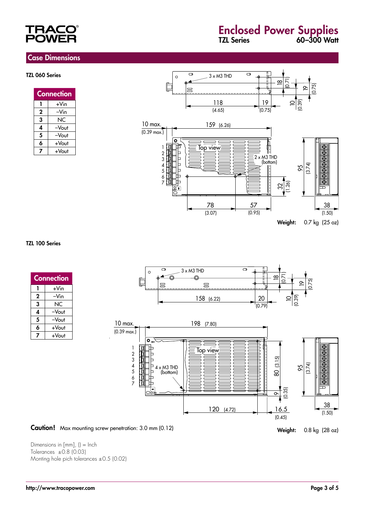#### Case Dimensions

#### TZL 060 Series

| <b>Connection</b> |       |  |
|-------------------|-------|--|
|                   | +Vin  |  |
| 2                 | –Vin  |  |
| 3                 | ΝC    |  |
| 4                 | -Vout |  |
| 5                 | -Vout |  |
| 6                 | +Vout |  |
|                   | +Vout |  |



#### TZL 100 Series

| <b>Connection</b> |       |  |
|-------------------|-------|--|
|                   | +Vin  |  |
| 2                 | –Vin  |  |
| 3                 | NC    |  |
| 4                 | -Vout |  |
| 5                 | -Vout |  |
| 6                 | +Vout |  |
| 7                 | +Vout |  |



120 (4.72)





 $\overline{\circ}$ 

16.5 (0.45)

Dimensions in  $[mm]$ ,  $() = Inch$ Tolerances  $\pm 0.8$  (0.03) Monting hole pich tolerances ±0.5 (0.02)

38  $(1.50)$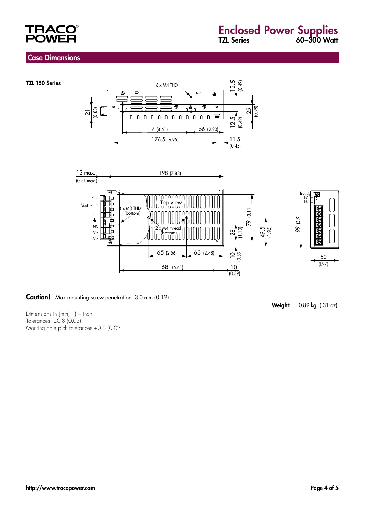

#### Case Dimensions

TZL 150 Series





#### Caution! Max mounting screw penetration: 3.0 mm (0.12)

Dimensions in [mm], () = Inch Tolerances  $\pm 0.8$  (0.03) Monting hole pich tolerances ±0.5 (0.02) Weight: 0.89 kg ( 31 oz)